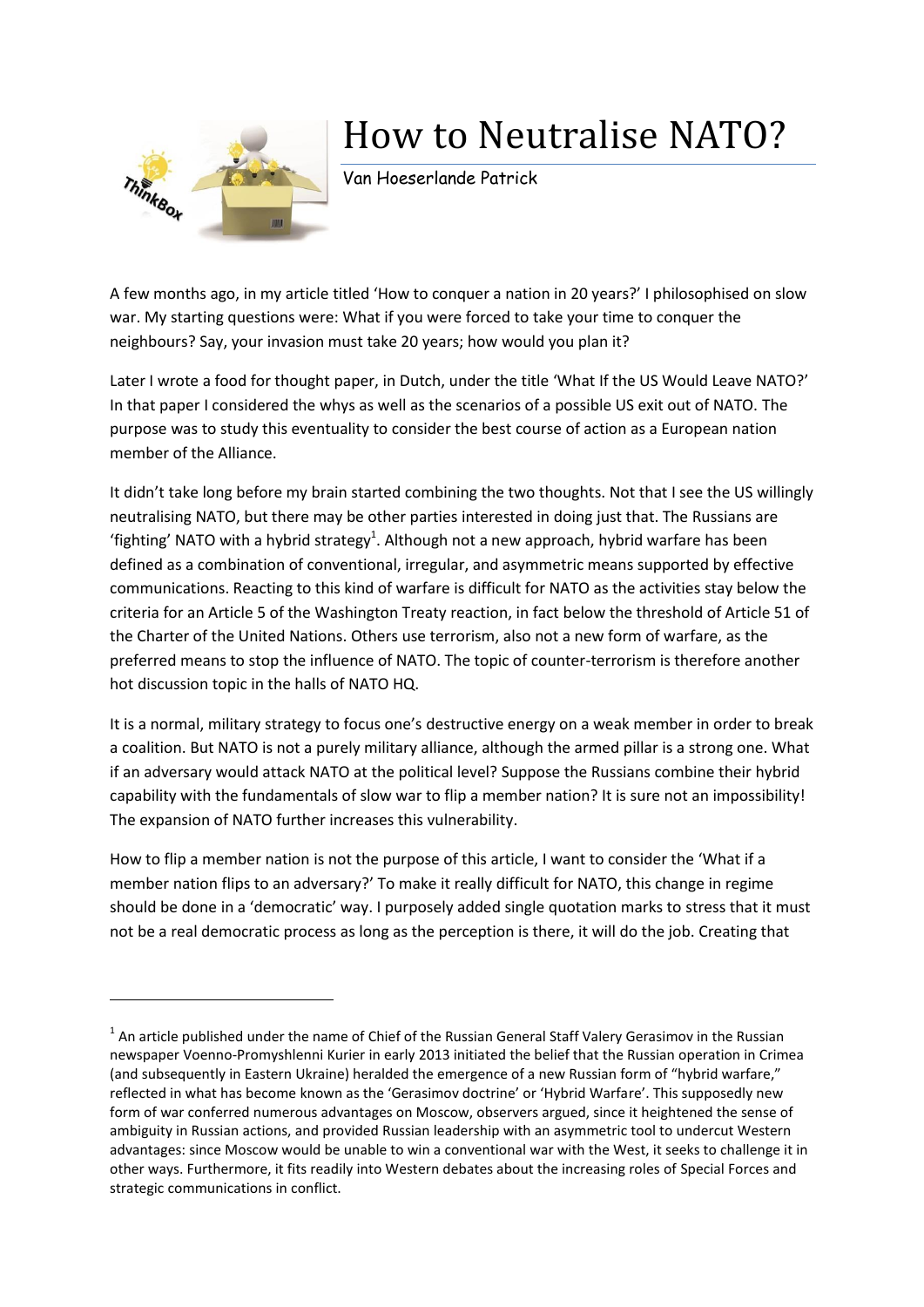

**.** 

## How to Neutralise NATO?

Van Hoeserlande Patrick

A few months ago, in my article titled 'How to conquer a nation in 20 years?' I philosophised on slow war. My starting questions were: What if you were forced to take your time to conquer the neighbours? Say, your invasion must take 20 years; how would you plan it?

Later I wrote a food for thought paper, in Dutch, under the title 'What If the US Would Leave NATO?' In that paper I considered the whys as well as the scenarios of a possible US exit out of NATO. The purpose was to study this eventuality to consider the best course of action as a European nation member of the Alliance.

It didn't take long before my brain started combining the two thoughts. Not that I see the US willingly neutralising NATO, but there may be other parties interested in doing just that. The Russians are 'fighting' NATO with a hybrid strategy<sup>1</sup>. Although not a new approach, hybrid warfare has been defined as a combination of conventional, irregular, and asymmetric means supported by effective communications. Reacting to this kind of warfare is difficult for NATO as the activities stay below the criteria for an Article 5 of the Washington Treaty reaction, in fact below the threshold of Article 51 of the Charter of the United Nations. Others use terrorism, also not a new form of warfare, as the preferred means to stop the influence of NATO. The topic of counter-terrorism is therefore another hot discussion topic in the halls of NATO HQ.

It is a normal, military strategy to focus one's destructive energy on a weak member in order to break a coalition. But NATO is not a purely military alliance, although the armed pillar is a strong one. What if an adversary would attack NATO at the political level? Suppose the Russians combine their hybrid capability with the fundamentals of slow war to flip a member nation? It is sure not an impossibility! The expansion of NATO further increases this vulnerability.

How to flip a member nation is not the purpose of this article, I want to consider the 'What if a member nation flips to an adversary?' To make it really difficult for NATO, this change in regime should be done in a 'democratic' way. I purposely added single quotation marks to stress that it must not be a real democratic process as long as the perception is there, it will do the job. Creating that

 $<sup>1</sup>$  An article published under the name of Chief of the Russian General Staff Valery Gerasimov in the Russian</sup> newspaper Voenno-Promyshlenni Kurier in early 2013 initiated the belief that the Russian operation in Crimea (and subsequently in Eastern Ukraine) heralded the emergence of a new Russian form of "hybrid warfare," reflected in what has become known as the 'Gerasimov doctrine' or 'Hybrid Warfare'. This supposedly new form of war conferred numerous advantages on Moscow, observers argued, since it heightened the sense of ambiguity in Russian actions, and provided Russian leadership with an asymmetric tool to undercut Western advantages: since Moscow would be unable to win a conventional war with the West, it seeks to challenge it in other ways. Furthermore, it fits readily into Western debates about the increasing roles of Special Forces and strategic communications in conflict.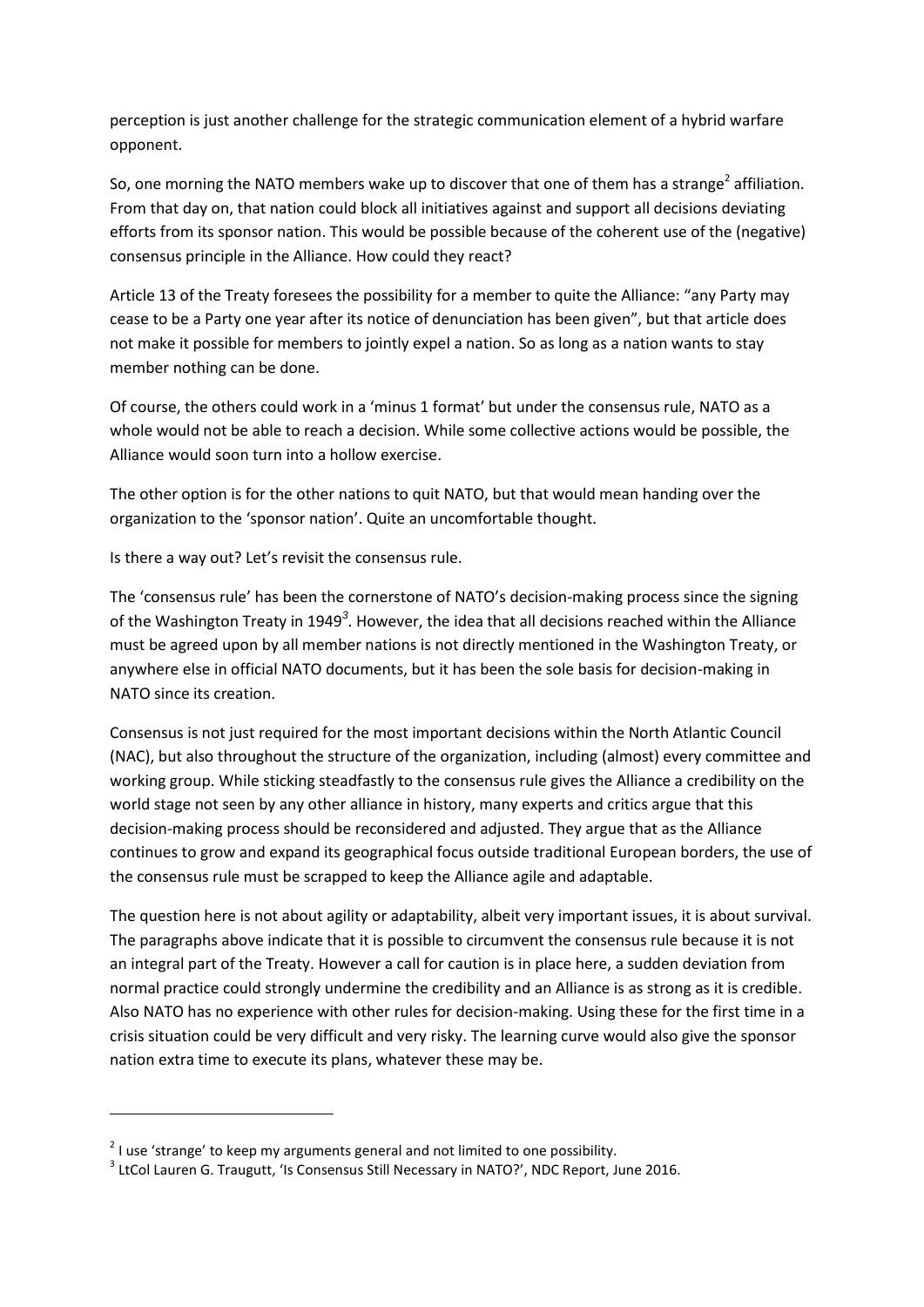perception is just another challenge for the strategic communication element of a hybrid warfare opponent.

So, one morning the NATO members wake up to discover that one of them has a strange<sup>2</sup> affiliation. From that day on, that nation could block all initiatives against and support all decisions deviating efforts from its sponsor nation. This would be possible because of the coherent use of the (negative) consensus principle in the Alliance. How could they react?

Article 13 of the Treaty foresees the possibility for a member to quite the Alliance: "any Party may cease to be a Party one year after its notice of denunciation has been given", but that article does not make it possible for members to jointly expel a nation. So as long as a nation wants to stay member nothing can be done.

Of course, the others could work in a 'minus 1 format' but under the consensus rule, NATO as a whole would not be able to reach a decision. While some collective actions would be possible, the Alliance would soon turn into a hollow exercise.

The other option is for the other nations to quit NATO, but that would mean handing over the organization to the 'sponsor nation'. Quite an uncomfortable thought.

Is there a way out? Let's revisit the consensus rule.

The 'consensus rule' has been the cornerstone of NATO's decision-making process since the signing of the Washington Treaty in 1949<sup>3</sup>. However, the idea that all decisions reached within the Alliance must be agreed upon by all member nations is not directly mentioned in the Washington Treaty, or anywhere else in official NATO documents, but it has been the sole basis for decision-making in NATO since its creation.

Consensus is not just required for the most important decisions within the North Atlantic Council (NAC), but also throughout the structure of the organization, including (almost) every committee and working group. While sticking steadfastly to the consensus rule gives the Alliance a credibility on the world stage not seen by any other alliance in history, many experts and critics argue that this decision-making process should be reconsidered and adjusted. They argue that as the Alliance continues to grow and expand its geographical focus outside traditional European borders, the use of the consensus rule must be scrapped to keep the Alliance agile and adaptable.

The question here is not about agility or adaptability, albeit very important issues, it is about survival. The paragraphs above indicate that it is possible to circumvent the consensus rule because it is not an integral part of the Treaty. However a call for caution is in place here, a sudden deviation from normal practice could strongly undermine the credibility and an Alliance is as strong as it is credible. Also NATO has no experience with other rules for decision-making. Using these for the first time in a crisis situation could be very difficult and very risky. The learning curve would also give the sponsor nation extra time to execute its plans, whatever these may be.

**.** 

 $^{2}$  I use 'strange' to keep my arguments general and not limited to one possibility.

<sup>&</sup>lt;sup>3</sup> LtCol Lauren G. Traugutt, 'Is Consensus Still Necessary in NATO?', NDC Report, June 2016.